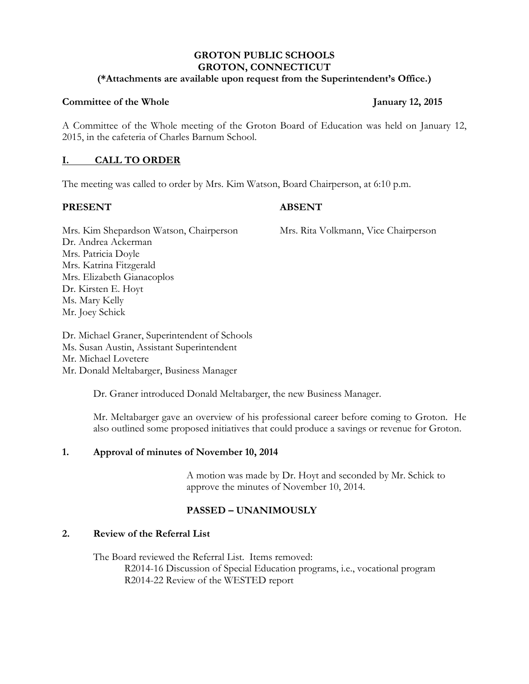## **GROTON PUBLIC SCHOOLS GROTON, CONNECTICUT**

### **(\*Attachments are available upon request from the Superintendent's Office.)**

### **Committee of the Whole January 12, 2015**

A Committee of the Whole meeting of the Groton Board of Education was held on January 12, 2015, in the cafeteria of Charles Barnum School.

## **I. CALL TO ORDER**

The meeting was called to order by Mrs. Kim Watson, Board Chairperson, at 6:10 p.m.

## **PRESENT ABSENT**

Mrs. Kim Shepardson Watson, Chairperson Mrs. Rita Volkmann, Vice Chairperson Dr. Andrea Ackerman Mrs. Patricia Doyle Mrs. Katrina Fitzgerald Mrs. Elizabeth Gianacoplos Dr. Kirsten E. Hoyt Ms. Mary Kelly Mr. Joey Schick

Dr. Michael Graner, Superintendent of Schools Ms. Susan Austin, Assistant Superintendent Mr. Michael Lovetere Mr. Donald Meltabarger, Business Manager

Dr. Graner introduced Donald Meltabarger, the new Business Manager.

Mr. Meltabarger gave an overview of his professional career before coming to Groton. He also outlined some proposed initiatives that could produce a savings or revenue for Groton.

## **1. Approval of minutes of November 10, 2014**

A motion was made by Dr. Hoyt and seconded by Mr. Schick to approve the minutes of November 10, 2014.

# **PASSED – UNANIMOUSLY**

## **2. Review of the Referral List**

The Board reviewed the Referral List. Items removed: R2014-16 Discussion of Special Education programs, i.e., vocational program R2014-22 Review of the WESTED report